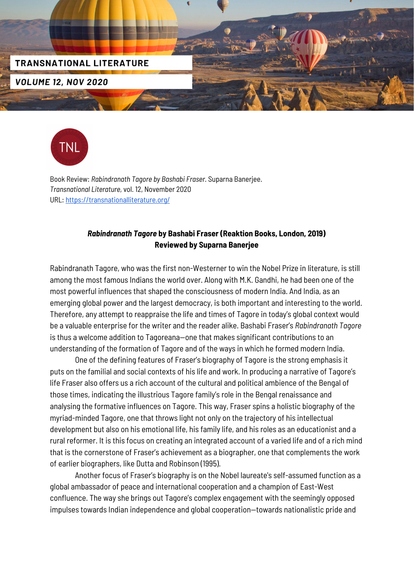



Book Review: *Rabindranath Tagore by Bashabi Fraser.* Suparna Banerjee. *Transnational Literature,* vol. 12, November 2020 URL: <https://transnationalliterature.org/>

## *Rabindranath Tagore* **by Bashabi Fraser (Reaktion Books, London, 2019) Reviewed by Suparna Banerjee**

Rabindranath Tagore, who was the first non-Westerner to win the Nobel Prize in literature, is still among the most famous Indians the world over. Along with M.K. Gandhi, he had been one of the most powerful influences that shaped the consciousness of modern India. And India, as an emerging global power and the largest democracy, is both important and interesting to the world. Therefore, any attempt to reappraise the life and times of Tagore in today's global context would be a valuable enterprise for the writer and the reader alike. Bashabi Fraser's *Rabindranath Tagore* is thus a welcome addition to Tagoreana—one that makes significant contributions to an understanding of the formation of Tagore and of the ways in which he formed modern India.

One of the defining features of Fraser's biography of Tagore is the strong emphasis it puts on the familial and social contexts of his life and work. In producing a narrative of Tagore's life Fraser also offers us a rich account of the cultural and political ambience of the Bengal of those times, indicating the illustrious Tagore family's role in the Bengal renaissance and analysing the formative influences on Tagore. This way, Fraser spins a holistic biography of the myriad-minded Tagore, one that throws light not only on the trajectory of his intellectual development but also on his emotional life, his family life, and his roles as an educationist and a rural reformer. It is this focus on creating an integrated account of a varied life and of a rich mind that is the cornerstone of Fraser's achievement as a biographer, one that complements the work of earlier biographers, like Dutta and Robinson (1995).

Another focus of Fraser's biography is on the Nobel laureate's self-assumed function as a global ambassador of peace and international cooperation and a champion of East-West confluence. The way she brings out Tagore's complex engagement with the seemingly opposed impulses towards Indian independence and global cooperation—towards nationalistic pride and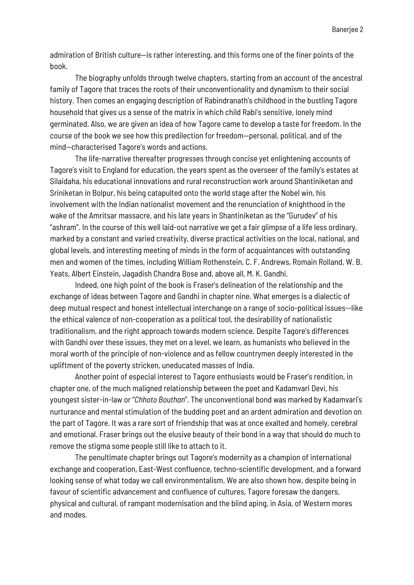admiration of British culture—is rather interesting, and this forms one of the finer points of the book.

The biography unfolds through twelve chapters, starting from an account of the ancestral family of Tagore that traces the roots of their unconventionality and dynamism to their social history. Then comes an engaging description of Rabindranath's childhood in the bustling Tagore household that gives us a sense of the matrix in which child Rabi's sensitive, lonely mind germinated. Also, we are given an idea of how Tagore came to develop a taste for freedom. In the course of the book we see how this predilection for freedom—personal, political, and of the mind—characterised Tagore's words and actions.

The life-narrative thereafter progresses through concise yet enlightening accounts of Tagore's visit to England for education, the years spent as the overseer of the family's estates at Silaidaha, his educational innovations and rural reconstruction work around Shantiniketan and Sriniketan in Bolpur, his being catapulted onto the world stage after the Nobel win, his involvement with the Indian nationalist movement and the renunciation of knighthood in the wake of the Amritsar massacre, and his late years in Shantiniketan as the "Gurudev" of his "ashram". In the course of this well laid-out narrative we get a fair glimpse of a life less ordinary, marked by a constant and varied creativity, diverse practical activities on the local, national, and global levels, and interesting meeting of minds in the form of acquaintances with outstanding men and women of the times, including William Rothenstein, C. F. Andrews, Romain Rolland, W. B. Yeats, Albert Einstein, Jagadish Chandra Bose and, above all, M. K. Gandhi.

Indeed, one high point of the book is Fraser's delineation of the relationship and the exchange of ideas between Tagore and Gandhi in chapter nine. What emerges is a dialectic of deep mutual respect and honest intellectual interchange on a range of socio-political issues--like the ethical valence of non-cooperation as a political tool, the desirability of nationalistic traditionalism, and the right approach towards modern science. Despite Tagore's differences with Gandhi over these issues, they met on a level, we learn, as humanists who believed in the moral worth of the principle of non-violence and as fellow countrymen deeply interested in the upliftment of the poverty stricken, uneducated masses of India.

Another point of especial interest to Tagore enthusiasts would be Fraser's rendition, in chapter one, of the much maligned relationship between the poet and Kadamvari Devi, his youngest sister-in-law or "*Chhoto Bouthan*". The unconventional bond was marked by Kadamvari's nurturance and mental stimulation of the budding poet and an ardent admiration and devotion on the part of Tagore. It was a rare sort of friendship that was at once exalted and homely, cerebral and emotional. Fraser brings out the elusive beauty of their bond in a way that should do much to remove the stigma some people still like to attach to it.

The penultimate chapter brings out Tagore's modernity as a champion of international exchange and cooperation, East-West confluence, techno-scientific development, and a forward looking sense of what today we call environmentalism. We are also shown how, despite being in favour of scientific advancement and confluence of cultures, Tagore foresaw the dangers, physical and cultural, of rampant modernisation and the blind aping, in Asia, of Western mores and modes.